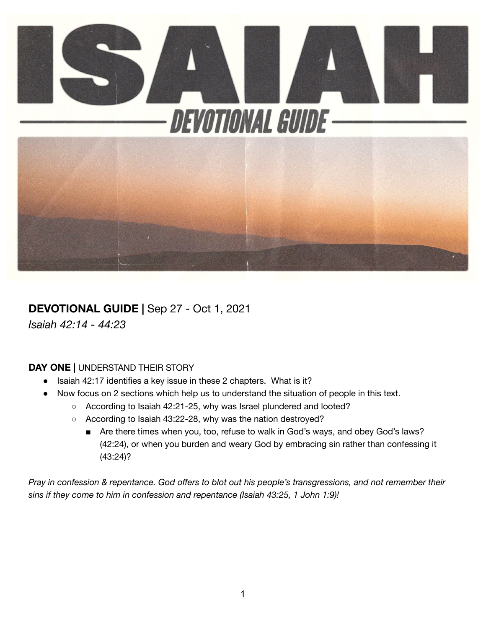

# **DEVOTIONAL GUIDE |** Sep 27 - Oct 1, 2021

*Isaiah 42:14 - 44:23*

#### **DAY ONE |** UNDERSTAND THEIR STORY

- Isaiah 42:17 identifies a key issue in these 2 chapters. What is it?
- Now focus on 2 sections which help us to understand the situation of people in this text.
	- According to Isaiah 42:21-25, why was Israel plundered and looted?
	- According to Isaiah 43:22-28, why was the nation destroyed?
		- Are there times when you, too, refuse to walk in God's ways, and obey God's laws? (42:24), or when you burden and weary God by embracing sin rather than confessing it (43:24)?

Pray in confession & repentance. God offers to blot out his people's transgressions, and not remember their *sins if they come to him in confession and repentance (Isaiah 43:25, 1 John 1:9)!*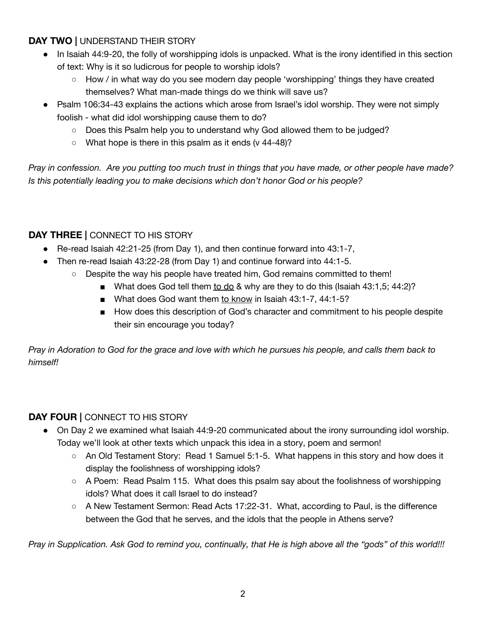### **DAY TWO |** UNDERSTAND THEIR STORY

- In Isaiah 44:9-20, the folly of worshipping idols is unpacked. What is the irony identified in this section of text: Why is it so ludicrous for people to worship idols?
	- How / in what way do you see modern day people 'worshipping' things they have created themselves? What man-made things do we think will save us?
- Psalm 106:34-43 explains the actions which arose from Israel's idol worship. They were not simply foolish - what did idol worshipping cause them to do?
	- Does this Psalm help you to understand why God allowed them to be judged?
	- $\circ$  What hope is there in this psalm as it ends (v 44-48)?

Pray in confession. Are you putting too much trust in things that you have made, or other people have made? *Is this potentially leading you to make decisions which don't honor God or his people?*

## **DAY THREE |** CONNECT TO HIS STORY

- Re-read Isaiah 42:21-25 (from Day 1), and then continue forward into 43:1-7,
- Then re-read Isaiah 43:22-28 (from Day 1) and continue forward into 44:1-5.
	- Despite the way his people have treated him, God remains committed to them!
		- What does God tell them to do & why are they to do this (Isaiah 43:1,5; 44:2)?
			- What does God want them to know in Isaiah 43:1-7, 44:1-5?
			- How does this description of God's character and commitment to his people despite their sin encourage you today?

Pray in Adoration to God for the grace and love with which he pursues his people, and calls them back to *himself!*

### **DAY FOUR |** CONNECT TO HIS STORY

- On Day 2 we examined what Isaiah 44:9-20 communicated about the irony surrounding idol worship. Today we'll look at other texts which unpack this idea in a story, poem and sermon!
	- An Old Testament Story: Read 1 Samuel 5:1-5. What happens in this story and how does it display the foolishness of worshipping idols?
	- $\circ$  A Poem: Read Psalm 115. What does this psalm say about the foolishness of worshipping idols? What does it call Israel to do instead?
	- A New Testament Sermon: Read Acts 17:22-31. What, according to Paul, is the difference between the God that he serves, and the idols that the people in Athens serve?

Pray in Supplication. Ask God to remind you, continually, that He is high above all the "gods" of this world!!!